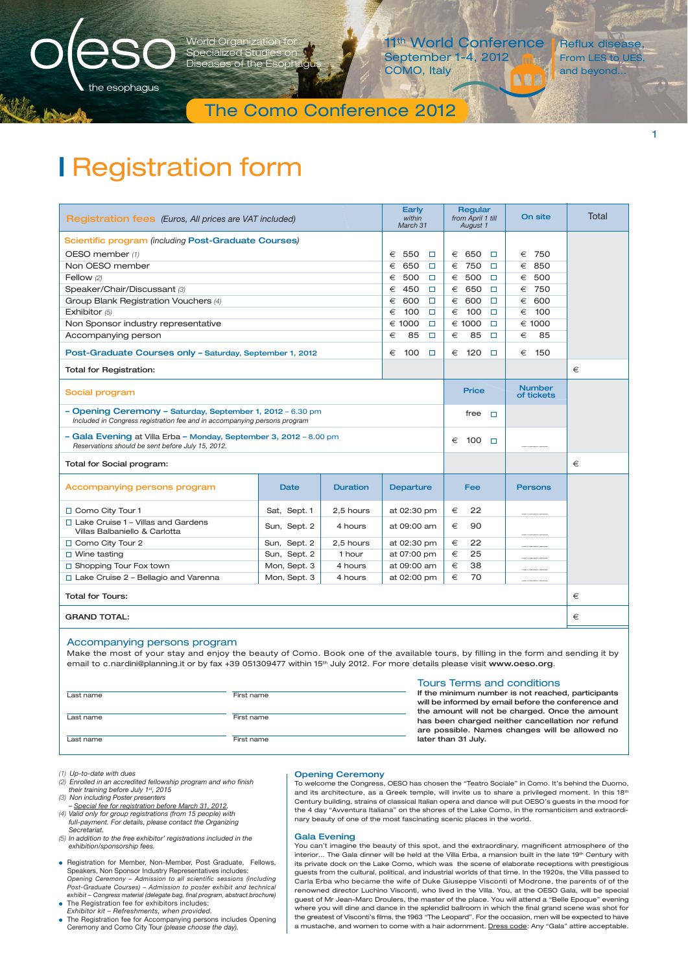

d Organization fo Specialized Studi Diseases of the E

11<sup>th</sup> World Conference September 1-4, 2012 COMO, Italy

Reflux disease, From LES to UES and beyond...

1

# The Como Conference 2012

# **|** Registration form

| <b>Registration fees</b> (Euros, All prices are VAT included)                                                                                             |              |                 | Early<br>within<br>March 31 | Regular<br>from April 1 till<br>August 1 | On site        | Total |
|-----------------------------------------------------------------------------------------------------------------------------------------------------------|--------------|-----------------|-----------------------------|------------------------------------------|----------------|-------|
| Scientific program (including Post-Graduate Courses)                                                                                                      |              |                 |                             |                                          |                |       |
| OESO member (1)                                                                                                                                           |              |                 | 550<br>€<br>$\Box$          | 650<br>€<br>$\Box$                       | 750<br>€       |       |
| Non OESO member                                                                                                                                           |              |                 | 650<br>€<br>$\Box$          | 750<br>€<br>$\Box$                       | 850<br>€       |       |
| Fellow (2)                                                                                                                                                |              |                 | 500<br>€<br>$\Box$          | 500<br>€<br>$\Box$                       | € 500          |       |
| Speaker/Chair/Discussant (3)                                                                                                                              |              |                 | 450<br>€<br>$\Box$          | 650<br>€<br>$\Box$                       | 750<br>€       |       |
| Group Blank Registration Vouchers (4)                                                                                                                     |              |                 | 600<br>€<br>$\Box$          | 600<br>€<br>$\Box$                       | 600<br>€       |       |
| Exhibitor (5)                                                                                                                                             |              |                 | 100<br>€<br>$\Box$          | 100<br>€<br>$\Box$                       | 100<br>€       |       |
| Non Sponsor industry representative                                                                                                                       |              |                 | € 1000<br>$\Box$            | € 1000<br>$\Box$                         | € 1000         |       |
| Accompanying person                                                                                                                                       |              |                 | 85<br>€<br>□                | €<br>85<br>□                             | €<br>85        |       |
| Post-Graduate Courses only - Saturday, September 1, 2012                                                                                                  |              |                 | €<br>100<br>□               | 120<br>€<br>$\Box$                       | 150<br>€       |       |
| <b>Total for Registration:</b>                                                                                                                            |              |                 |                             |                                          |                | €     |
| <b>Number</b><br><b>Price</b><br>Social program<br>of tickets                                                                                             |              |                 |                             |                                          |                |       |
| - Opening Ceremony - Saturday, September 1, 2012 - 6.30 pm<br>free<br>$\Box$<br>Included in Congress registration fee and in accompanying persons program |              |                 |                             |                                          |                |       |
| - Gala Evening at Villa Erba - Monday, September 3, 2012 - 8.00 pm<br>€<br>100<br>$\Box$<br>Reservations should be sent before July 15, 2012.             |              |                 |                             |                                          |                |       |
| Total for Social program:                                                                                                                                 |              |                 |                             |                                          |                | €     |
| Accompanying persons program                                                                                                                              | Date         | <b>Duration</b> | <b>Departure</b>            | <b>Fee</b>                               | <b>Persons</b> |       |
| □ Como City Tour 1                                                                                                                                        | Sat, Sept. 1 | 2,5 hours       | at 02:30 pm                 | €<br>22                                  |                |       |
| $\Box$ Lake Cruise 1 - Villas and Gardens<br>Villas Balbaniello & Carlotta                                                                                | Sun, Sept. 2 | 4 hours         | at 09:00 am                 | €<br>90                                  |                |       |
| □ Como City Tour 2                                                                                                                                        | Sun, Sept. 2 | 2.5 hours       | at 02:30 pm                 | €<br>22                                  |                |       |
| $\Box$ Wine tasting                                                                                                                                       | Sun, Sept. 2 | 1 hour          | at 07:00 pm                 | €<br>25                                  |                |       |
| $\Box$ Shopping Tour Fox town                                                                                                                             | Mon, Sept. 3 | 4 hours         | at 09:00 am                 | €<br>38                                  |                |       |
| Lake Cruise 2 - Bellagio and Varenna                                                                                                                      | Mon, Sept. 3 | 4 hours         | at 02:00 pm                 | €<br>70                                  |                |       |
| <b>Total for Tours:</b>                                                                                                                                   |              |                 |                             |                                          | €              |       |
| <b>GRAND TOTAL:</b>                                                                                                                                       |              |                 |                             | €                                        |                |       |
|                                                                                                                                                           |              |                 |                             |                                          |                |       |

### Accompanying persons program

Make the most of your stay and enjoy the beauty of Como. Book one of the available tours, by filling in the form and sending it by email to c.nardini@planning.it or by fax +39 051309477 within 15<sup>th</sup> July 2012. For more details please visit www.oeso.org.

|           |            | <b>Tours Terms and conditions</b>                   |
|-----------|------------|-----------------------------------------------------|
| Last name | First name | If the minimum number is not reached, participants  |
|           |            | will be informed by email before the conference and |
|           |            | the amount will not be charged. Once the amount     |
| Last name | First name | has been charged neither cancellation nor refund    |
|           |            | are possible. Names changes will be allowed no      |
| Last name | First name | later than 31 July.                                 |

*(1) Up-to-date with dues*

- *(2) Enrolled in an accredited fellowship program and who finish their training before July 1st, 2015 (3) Non including Poster presenters*
- *Special fee for registration before March 31, 2012. (4) Valid only for group registrations (from 15 people) with full-payment. For details, please contact the Organizing Secretariat.*
- *(5) In addition to the free exhibitor' registrations included in the exhibition/sponsorship fees.*
- Registration for Member, Non-Member, Post Graduate, Fellows, Speakers, Non Sponsor Industry Representatives includes: *Opening Ceremony – Admission to all scientific sessions (including Post-Graduate Courses) – Admission to poster exhibit and technical exhibit – Congress material (delegate bag, final program, abstract brochure)* ● The Registration fee for exhibitors includes
- *Exhibitor kit Refreshments, when provided.*
- The Registration fee for Accompanying persons includes Opening Ceremony and Como City Tour *(please choose the day).*

#### Opening Ceremony

To welcome the Congress, OESO has chosen the "Teatro Sociale" in Como. It's behind the Duomo, and its architecture, as a Greek temple, will invite us to share a privileged moment. In this  $18^{\text{th}}$ Century building, strains of classical Italian opera and dance will put OESO's guests in the mood for the 4 day "Avventura Italiana" on the shores of the Lake Como, in the romanticism and extraordinary beauty of one of the most fascinating scenic places in the world.

#### Gala Evening

You can't imagine the beauty of this spot, and the extraordinary, magnificent atmosphere of the interior... The Gala dinner will be held at the Villa Erba, a mansion built in the late 19th Century with its private dock on the Lake Como, which was the scene of elaborate receptions with prestigious guests from the cultural, political, and industrial worlds of that time. In the 1920s, the Villa passed to Carla Erba who became the wife of Duke Giuseppe Visconti of Modrone, the parents of of the renowned director Luchino Visconti, who lived in the Villa. You, at the OESO Gala, will be special guest of Mr Jean-Marc Droulers, the master of the place. You will attend a "Belle Epoque" evening where you will dine and dance in the splendid ballroom in which the final grand scene was shot for the greatest of Visconti's films, the 1963 "The Leopard". For the occasion, men will be expected to have a mustache, and women to come with a hair adornment. Dress code: Any "Gala" attire acceptable.